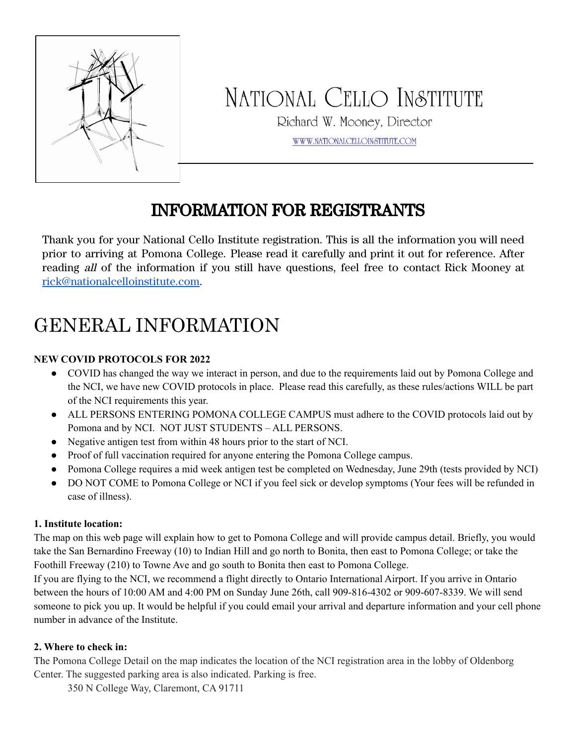

# NATIONAL CELLO INSTITUTE

Richard W. Mooney, Director

WWW.NATIONALCELLOINSTITUTE.COM

### INFORMATION FOR REGISTRANTS

Thank you for your National Cello Institute registration. This is all the information you will need prior to arriving at Pomona College. Please read it carefully and print it out for reference. After reading all of the information if you still have questions, feel free to contact Rick Mooney at [rick@nationalcelloinstitute.com](mailto:rick@nationalcelloinstitute.com).

## GENERAL INFORMATION

#### **NEW COVID PROTOCOLS FOR 2022**

- COVID has changed the way we interact in person, and due to the requirements laid out by Pomona College and the NCI, we have new COVID protocols in place. Please read this carefully, as these rules/actions WILL be part of the NCI requirements this year.
- ALL PERSONS ENTERING POMONA COLLEGE CAMPUS must adhere to the COVID protocols laid out by Pomona and by NCI. NOT JUST STUDENTS – ALL PERSONS.
- Negative antigen test from within 48 hours prior to the start of NCI.
- Proof of full vaccination required for anyone entering the Pomona College campus.
- Pomona College requires a mid week antigen test be completed on Wednesday, June 29th (tests provided by NCI)
- DO NOT COME to Pomona College or NCI if you feel sick or develop symptoms (Your fees will be refunded in case of illness).

#### **1. Institute location:**

The map on this web page will explain how to get to Pomona College and will provide campus detail. Briefly, you would take the San Bernardino Freeway (10) to Indian Hill and go north to Bonita, then east to Pomona College; or take the Foothill Freeway (210) to Towne Ave and go south to Bonita then east to Pomona College.

If you are flying to the NCI, we recommend a flight directly to Ontario International Airport. If you arrive in Ontario between the hours of 10:00 AM and 4:00 PM on Sunday June 26th, call 909-816-4302 or 909-607-8339. We will send someone to pick you up. It would be helpful if you could email your arrival and departure information and your cell phone number in advance of the Institute.

#### **2. Where to check in:**

The Pomona College Detail on the map indicates the location of the NCI registration area in the lobby of Oldenborg Center. The suggested parking area is also indicated. Parking is free.

350 N College Way, Claremont, CA 91711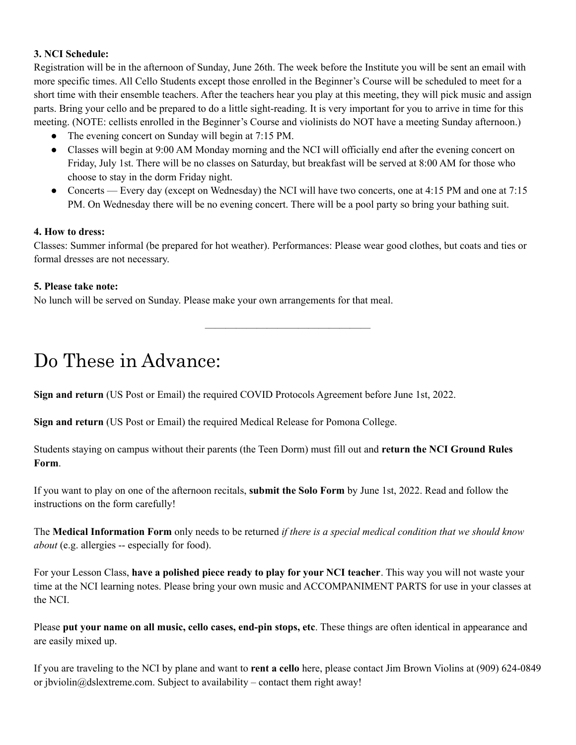#### **3. NCI Schedule:**

Registration will be in the afternoon of Sunday, June 26th. The week before the Institute you will be sent an email with more specific times. All Cello Students except those enrolled in the Beginner's Course will be scheduled to meet for a short time with their ensemble teachers. After the teachers hear you play at this meeting, they will pick music and assign parts. Bring your cello and be prepared to do a little sight-reading. It is very important for you to arrive in time for this meeting. (NOTE: cellists enrolled in the Beginner's Course and violinists do NOT have a meeting Sunday afternoon.)

- The evening concert on Sunday will begin at 7:15 PM.
- Classes will begin at 9:00 AM Monday morning and the NCI will officially end after the evening concert on Friday, July 1st. There will be no classes on Saturday, but breakfast will be served at 8:00 AM for those who choose to stay in the dorm Friday night.
- Concerts Every day (except on Wednesday) the NCI will have two concerts, one at 4:15 PM and one at 7:15 PM. On Wednesday there will be no evening concert. There will be a pool party so bring your bathing suit.

#### **4. How to dress:**

Classes: Summer informal (be prepared for hot weather). Performances: Please wear good clothes, but coats and ties or formal dresses are not necessary.

————————————————

#### **5. Please take note:**

No lunch will be served on Sunday. Please make your own arrangements for that meal.

## Do These in Advance:

**Sign and return** (US Post or Email) the required COVID Protocols Agreement before June 1st, 2022.

**Sign and return** (US Post or Email) the required Medical Release for Pomona College.

Students staying on campus without their parents (the Teen Dorm) must fill out and **return the NCI Ground Rules Form**.

If you want to play on one of the afternoon recitals, **submit the Solo Form** by June 1st, 2022. Read and follow the instructions on the form carefully!

The **Medical Information Form** only needs to be returned *if there is a special medical condition that we should know about* (e.g. allergies -- especially for food).

For your Lesson Class, **have a polished piece ready to play for your NCI teacher**. This way you will not waste your time at the NCI learning notes. Please bring your own music and ACCOMPANIMENT PARTS for use in your classes at the NCI.

Please **put your name on all music, cello cases, end-pin stops, etc**. These things are often identical in appearance and are easily mixed up.

If you are traveling to the NCI by plane and want to **rent a cello** here, please contact Jim Brown Violins at (909) 624-0849 or jbviolin@dslextreme.com. Subject to availability – contact them right away!